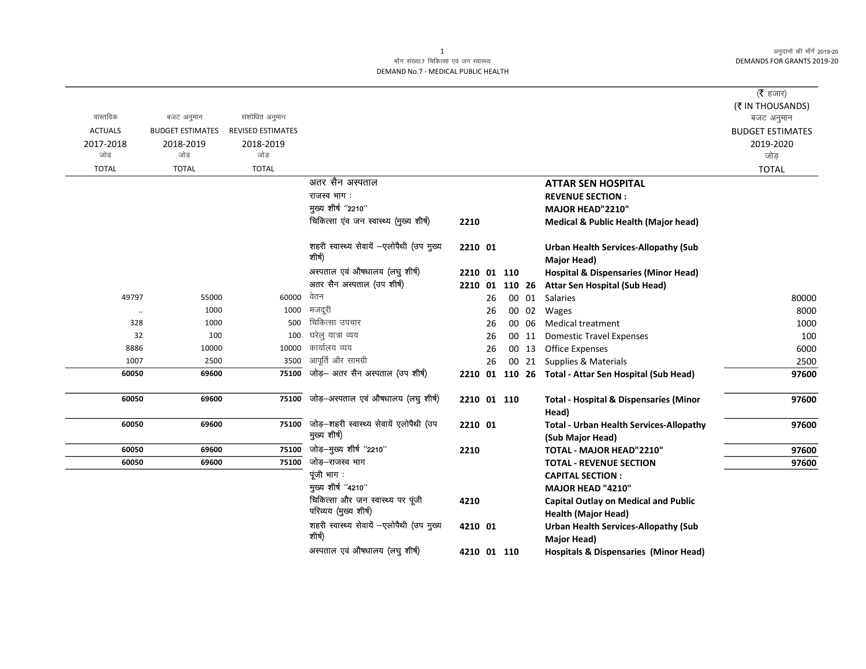अनुदानों की माँगें 2019-20 **DEMANDS FOR GRANTS 2019-20** 

## माँग संख्या.7 चिकित्सा एवं जन स्वास्थ्य DEMAND No.7 - MEDICAL PUBLIC HEALTH

|                |                         |                          |                                                         |             |    |        |       |                                                      | ( $\bar{\tau}$ हजार)    |
|----------------|-------------------------|--------------------------|---------------------------------------------------------|-------------|----|--------|-------|------------------------------------------------------|-------------------------|
|                |                         |                          |                                                         |             |    |        |       |                                                      | (₹ IN THOUSANDS)        |
| वास्तविक       | बजट अनुमान              | संशोधित अनुमान           |                                                         |             |    |        |       |                                                      | बजट अनुमान              |
| <b>ACTUALS</b> | <b>BUDGET ESTIMATES</b> | <b>REVISED ESTIMATES</b> |                                                         |             |    |        |       |                                                      | <b>BUDGET ESTIMATES</b> |
| 2017-2018      | 2018-2019               | 2018-2019                |                                                         |             |    |        |       |                                                      | 2019-2020               |
| जोड            | जोड                     | जोड                      |                                                         |             |    |        |       |                                                      | जोड़                    |
| <b>TOTAL</b>   | <b>TOTAL</b>            | <b>TOTAL</b>             |                                                         |             |    |        |       |                                                      | <b>TOTAL</b>            |
|                |                         |                          | अतर सैन अस्पताल                                         |             |    |        |       | <b>ATTAR SEN HOSPITAL</b>                            |                         |
|                |                         |                          | राजस्व भाग :                                            |             |    |        |       | <b>REVENUE SECTION:</b>                              |                         |
|                |                         |                          | मुख्य शीर्ष "2210"                                      |             |    |        |       | MAJOR HEAD"2210"                                     |                         |
|                |                         |                          | चिकित्सा एंव जन स्वास्थ्य (मुख्य शीर्ष)                 | 2210        |    |        |       | <b>Medical &amp; Public Health (Major head)</b>      |                         |
|                |                         |                          | शहरी स्वास्थ्य सेवायें -एलोपैथी (उप मुख्य               | 2210 01     |    |        |       | <b>Urban Health Services-Allopathy (Sub</b>          |                         |
|                |                         |                          | शीर्ष)                                                  |             |    |        |       | Major Head)                                          |                         |
|                |                         |                          | अस्पताल एवं औषधालय (लघु शीर्ष)                          | 2210 01 110 |    |        |       | <b>Hospital &amp; Dispensaries (Minor Head)</b>      |                         |
|                |                         |                          | अतर सैन अस्पताल (उप शीर्ष)                              | 2210 01     |    | 110 26 |       | <b>Attar Sen Hospital (Sub Head)</b>                 |                         |
| 49797          | 55000                   | 60000                    | वेतन                                                    |             | 26 |        | 00 01 | <b>Salaries</b>                                      | 80000                   |
| $\cdot\cdot$   | 1000                    | 1000                     | मजदूरी                                                  |             | 26 |        | 00 02 | Wages                                                | 8000                    |
| 328            | 1000                    | 500                      | चिकित्सा उपचार                                          |             | 26 |        | 00 06 | <b>Medical treatment</b>                             | 1000                    |
| 32             | 100                     | 100                      | घरेलु यात्रा व्यय                                       |             | 26 |        | 00 11 | <b>Domestic Travel Expenses</b>                      | 100                     |
| 8886           | 10000                   | 10000                    | कार्यालय व्यय                                           |             | 26 |        | 00 13 | Office Expenses                                      | 6000                    |
| 1007           | 2500                    | 3500                     | आपूर्ति और सामग्री                                      |             | 26 |        | 00 21 | Supplies & Materials                                 | 2500                    |
| 60050          | 69600                   | 75100                    | जोड़- अतर सैन अस्पताल (उप शीर्ष)                        |             |    |        |       | 2210 01 110 26 Total - Attar Sen Hospital (Sub Head) | 97600                   |
| 60050          | 69600                   | 75100                    | जोड़-अस्पताल एवं औषधालय (लघु शीर्ष)                     | 2210 01 110 |    |        |       | <b>Total - Hospital &amp; Dispensaries (Minor</b>    | 97600                   |
|                |                         |                          |                                                         |             |    |        |       | Head)                                                |                         |
| 60050          | 69600                   | 75100                    | जोड़-शहरी स्वास्थ्य सेवायें एलोपैथी (उप<br>मुख्य शीर्ष) | 2210 01     |    |        |       | <b>Total - Urban Health Services-Allopathy</b>       | 97600                   |
| 60050          | 69600                   | 75100                    | जोड़—मुख्य शीर्ष "2210"                                 | 2210        |    |        |       | (Sub Major Head)<br>TOTAL - MAJOR HEAD"2210"         | 97600                   |
| 60050          | 69600                   | 75100                    | जोड़-राजस्व भाग                                         |             |    |        |       | <b>TOTAL - REVENUE SECTION</b>                       | 97600                   |
|                |                         |                          | पूंजी भाग:                                              |             |    |        |       | <b>CAPITAL SECTION:</b>                              |                         |
|                |                         |                          | मुख्य शीर्ष "4210"                                      |             |    |        |       | MAJOR HEAD "4210"                                    |                         |
|                |                         |                          | चिकित्सा और जन स्वास्थ्य पर पूंजी                       | 4210        |    |        |       | <b>Capital Outlay on Medical and Public</b>          |                         |
|                |                         |                          | परिव्यय (मुख्य शीर्ष)                                   |             |    |        |       | <b>Health (Major Head)</b>                           |                         |
|                |                         |                          | शहरी स्वास्थ्य सेवायें -एलोपैथी (उप मुख्य               | 4210 01     |    |        |       | <b>Urban Health Services-Allopathy (Sub</b>          |                         |
|                |                         |                          | शीर्ष)                                                  |             |    |        |       | Major Head)                                          |                         |
|                |                         |                          | अस्पताल एवं औषधालय (लघु शीर्ष)                          | 4210 01 110 |    |        |       | <b>Hospitals &amp; Dispensaries (Minor Head)</b>     |                         |

 $\mathbf{1}$